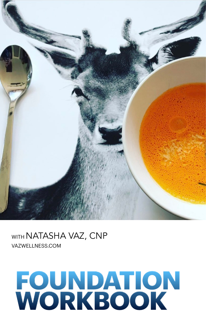

#### WITH NATASHA VAZ, CNP [VAZWELLNESS.COM](http://VAZWELLNESS.COM)

## **FOUNDATION WORKBOOK**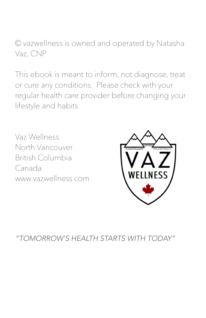© vazwellness is owned and operated by Natasha Vaz, CNP

This ebook is meant to inform, not diagnose, treat or cure any conditions. Please check with your regular health care provider before changing your lifestyle and habits.

Vaz Wellness North Vancouver British Columbia Canada www.vazwellness.com



*"TOMORROW'S HEALTH STARTS WITH TODAY"*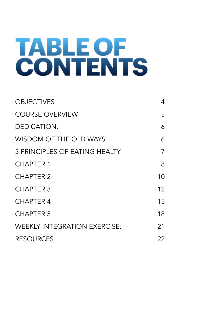## **TABLE OF CONTENTS**

| <b>OBJECTIVES</b>                   | 4  |
|-------------------------------------|----|
| <b>COURSE OVERVIEW</b>              | 5  |
| <b>DEDICATION:</b>                  | 6  |
| WISDOM OF THE OLD WAYS              | 6  |
| 5 PRINCIPLES OF EATING HEALTY       | 7  |
| <b>CHAPTER 1</b>                    | 8  |
| <b>CHAPTER 2</b>                    | 10 |
| <b>CHAPTER 3</b>                    | 12 |
| <b>CHAPTER 4</b>                    | 15 |
| <b>CHAPTER 5</b>                    | 18 |
| <b>WEEKLY INTEGRATION EXERCISE:</b> | 21 |
| <b>RESOURCES</b>                    | 22 |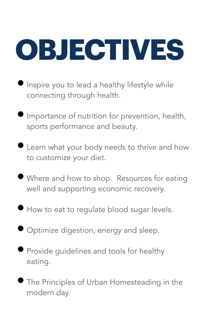<span id="page-3-0"></span>

- Inspire you to lead a healthy lifestyle while connecting through health.
- Importance of nutrition for prevention, health, sports performance and beauty.
- Learn what your body needs to thrive and how to customize your diet.
- Where and how to shop. Resources for eating well and supporting economic recovery.
- How to eat to regulate blood sugar levels.
- Optimize digestion, energy and sleep.
- Provide guidelines and tools for healthy eating.
- The Principles of Urban Homesteading in the modern day.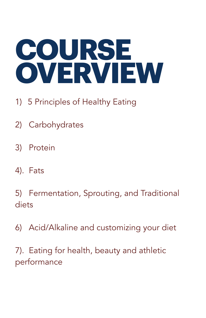## <span id="page-4-0"></span>**COURSE OVERVIEW**

- 1) 5 Principles of Healthy Eating
- 2) Carbohydrates
- 3) Protein
- 4). Fats

5) Fermentation, Sprouting, and Traditional diets

6) Acid/Alkaline and customizing your diet

7). Eating for health, beauty and athletic performance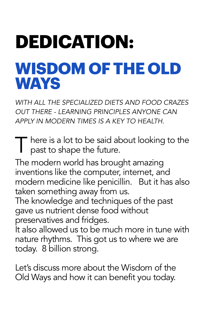### <span id="page-5-1"></span><span id="page-5-0"></span>**DEDICATION: WISDOM OF THE OLD WAYS**

*WITH ALL THE SPECIALIZED DIETS AND FOOD CRAZES OUT THERE - LEARNING PRINCIPLES ANYONE CAN APPLY IN MODERN TIMES IS A KEY TO HEALTH.* 

There is a lot to be said about looking to the past to shape the future.

The modern world has brought amazing inventions like the computer, internet, and modern medicine like penicillin. But it has also taken something away from us.

The knowledge and techniques of the past gave us nutrient dense food without preservatives and fridges.

It also allowed us to be much more in tune with nature rhythms. This got us to where we are today. 8 billion strong.

Let's discuss more about the Wisdom of the Old Ways and how it can benefit you today.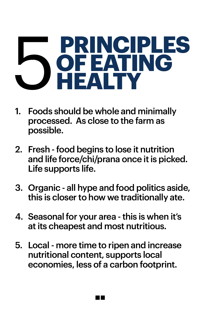## <span id="page-6-0"></span>5 **PRINCIPLES OF EATING HEALTY**

- 1. Foods should be whole and minimally processed. As close to the farm as possible.
- 2. Fresh food begins to lose it nutrition and life force/chi/prana once it is picked. Life supports life.
- 3. Organic all hype and food politics aside, this is closer to how we traditionally ate.
- 4. Seasonal for your area this is when it's at its cheapest and most nutritious.
- 5. Local more time to ripen and increase nutritional content, supports local economies, less of a carbon footprint.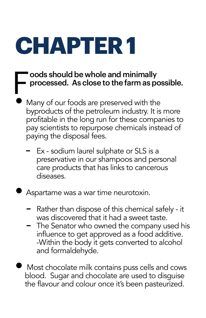## <span id="page-7-0"></span>**CHAPTER 1**

### Foods should be whole and minimally<br>Forocessed. As close to the farm as po processed. As close to the farm as possible.

- Many of our foods are preserved with the byproducts of the petroleum industry. It is more profitable in the long run for these companies to pay scientists to repurpose chemicals instead of paying the disposal fees.
	- Ex sodium laurel sulphate or SLS is a preservative in our shampoos and personal care products that has links to cancerous diseases.

• Aspartame was a war time neurotoxin.

- *-* Rather than dispose of this chemical safely it was discovered that it had a sweet taste.
- *-* The Senator who owned the company used his influence to get approved as a food additive. -Within the body it gets converted to alcohol and formaldehyde.
- Most chocolate milk contains puss cells and cows blood. Sugar and chocolate are used to disguise the flavour and colour once it's been pasteurized.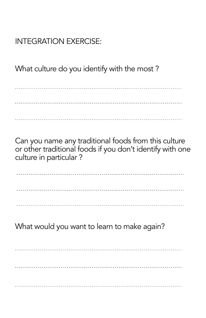#### INTEGRATION EXERCISE:

What culture do you identify with the most ?

Can you name any traditional foods from this culture or other traditional foods if you don't identify with one culture in particular ?

What would you want to learn to make again?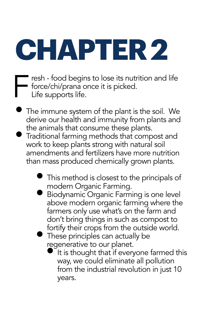# <span id="page-9-0"></span>**CHAPTER 2**

- Fresh food begins to lose its nutrition and life<br>force/chi/prana once it is picked.<br>Life supports life. force/chi/prana once it is picked. Life supports life.
	- The immune system of the plant is the soil. We derive our health and immunity from plants and the animals that consume these plants.
	- Traditional farming methods that compost and work to keep plants strong with natural soil amendments and fertilizers have more nutrition than mass produced chemically grown plants.
		- This method is closest to the principals of modern Organic Farming.
		- Biodynamic Organic Farming is one level above modern organic farming where the farmers only use what's on the farm and don't bring things in such as compost to fortify their crops from the outside world.
		- These principles can actually be regenerative to our planet.
			- It is thought that if everyone farmed this way, we could eliminate all pollution from the industrial revolution in just 10 years.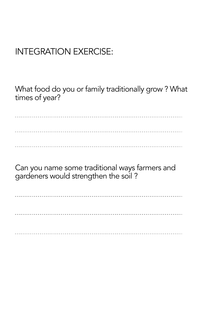#### INTEGRATION EXERCISE:

What food do you or family traditionally grow ? What times of year?

Can you name some traditional ways farmers and gardeners would strengthen the soil ?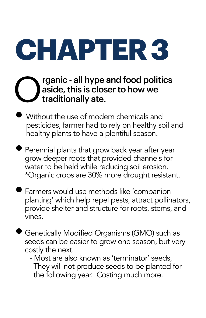<span id="page-11-0"></span>**CHAPTER 3** 

#### **C** rganic - all hype and food politics<br>aside, this is closer to how we<br>traditionally ate. aside, this is closer to how we traditionally ate.

- Without the use of modern chemicals and pesticides, farmer had to rely on healthy soil and healthy plants to have a plentiful season.
- Perennial plants that grow back year after year grow deeper roots that provided channels for water to be held while reducing soil erosion. \*Organic crops are 30% more drought resistant.
- Farmers would use methods like 'companion planting' which help repel pests, attract pollinators, provide shelter and structure for roots, stems, and vines.
- Genetically Modified Organisms (GMO) such as seeds can be easier to grow one season, but very costly the next.
	- Most are also known as 'terminator' seeds, They will not produce seeds to be planted for the following year. Costing much more.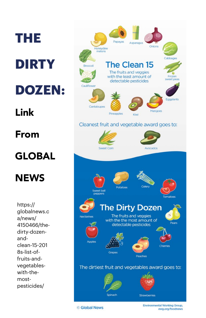## **THE DIRTY DOZEN:**  Link From GLOBAL **NEWS**

https:// globalnews.c a/news/ 4150466/thedirty-dozenandclean-15-201 8s-list-offruits-andvegetableswith-themostpesticides/

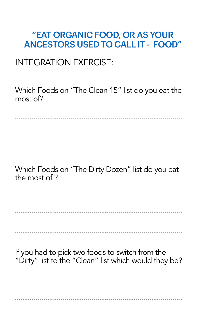#### "EAT ORGANIC FOOD, OR AS YOUR ANCESTORS USED TO CALL IT - FOOD"

#### INTEGRATION EXERCISE:

Which Foods on "The Clean 15" list do you eat the most of?

Which Foods on "The Dirty Dozen" list do you eat the most of ?

If you had to pick two foods to switch from the "Dirty" list to the "Clean" list which would they be?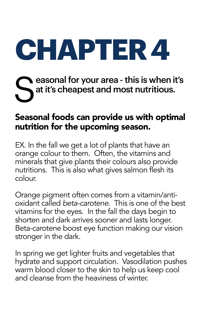# <span id="page-14-0"></span>**CHAPTER 4**

### Seasonal for your area - this is when it's<br>Sat it's cheapest and most nutritious. at it's cheapest and most nutritious.

#### Seasonal foods can provide us with optimal nutrition for the upcoming season.

EX. In the fall we get a lot of plants that have an orange colour to them. Often, the vitamins and minerals that give plants their colours also provide nutritions. This is also what gives salmon flesh its colour.

Orange pigment often comes from a vitamin/antioxidant called *beta-carotene.* This is one of the best vitamins for the eyes. In the fall the days begin to shorten and dark arrives sooner and lasts longer. Beta-carotene boost eye function making our vision stronger in the dark.

In spring we get lighter fruits and vegetables that hydrate and support circulation. Vasodilation pushes warm blood closer to the skin to help us keep cool and cleanse from the heaviness of winter.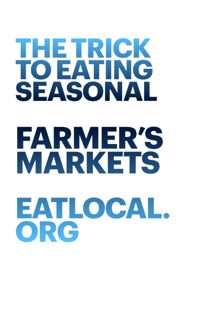## **THE TRICK TO EATING SEASONAL FARMER'S**

# **MARKETS [EATLOCAL.](http://EATLOCAL.ORG) [ORG](http://EATLOCAL.ORG)**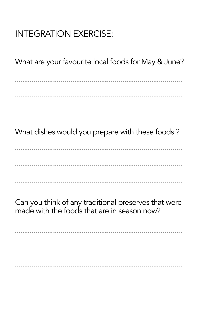#### INTEGRATION EXERCISE:

What are your favourite local foods for May & June?

What dishes would you prepare with these foods ?

Can you think of any traditional preserves that were made with the foods that are in season now?

----------------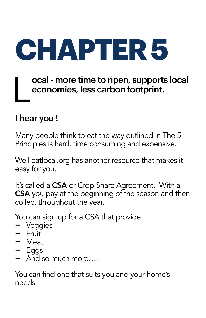<span id="page-17-0"></span>

#### ocal - more time to ripen, supports local economies, less carbon footprint.

#### I hear you !

Many people think to eat the way outlined in The 5 Principles is hard, time consuming and expensive.

Well eatlocal.org has another resource that makes it easy for you.

It's called a **CSA** or Crop Share Agreement. With a CSA you pay at the beginning of the season and then collect throughout the year.

You can sign up for a CSA that provide:

- Veggies<br>- Veggies<br>- Fruit
- vegg<br>- Fruit<br>Meet
- Meat
- Eggs
- And so much more….

You can find one that suits you and your home's needs.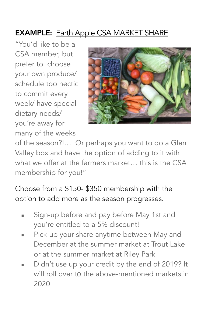#### **EXAMPLE:** [Earth Apple CSA MARKET SHARE](https://earthapplefarm.com/csa/)

"You'd like to be a CSA member, but prefer to choose your own produce/ schedule too hectic to commit every week/ have special dietary needs/ you're away for many of the weeks



of the season?!… Or perhaps you want to do a Glen Valley box and have the option of adding to it with what we offer at the farmers market… this is the CSA membership for you!"

Choose from a \$150- \$350 membership with the option to add more as the season progresses.

- Sign-up before and pay before May 1st and you're entitled to a 5% discount!
- Pick-up your share anytime between May and December at the summer market at Trout Lake or at the summer market at Riley Park
- Didn't use up your credit by the end of 2019? It will roll over to the above-mentioned markets in 2020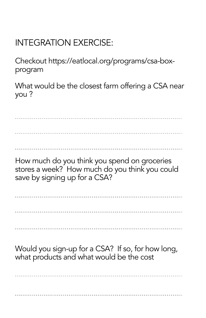#### INTEGRATION EXERCISE:

Checkout https://eatlocal.org/programs/csa-boxprogram

What would be the closest farm offering a CSA near you ?

How much do you think you spend on groceries stores a week? How much do you think you could

save by signing up for a CSA?

Would you sign-up for a CSA? If so, for how long, what products and what would be the cost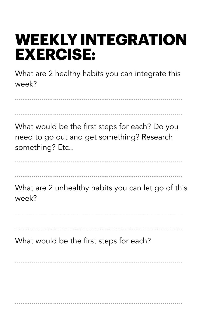### <span id="page-20-0"></span>**WEEKLY INTEGRATION EXERCISE:**

What are 2 healthy habits you can integrate this week?

What would be the first steps for each? Do you need to go out and get something? Research something? Etc.. What are 2 unhealthy habits you can let go of this week? What would be the first steps for each?